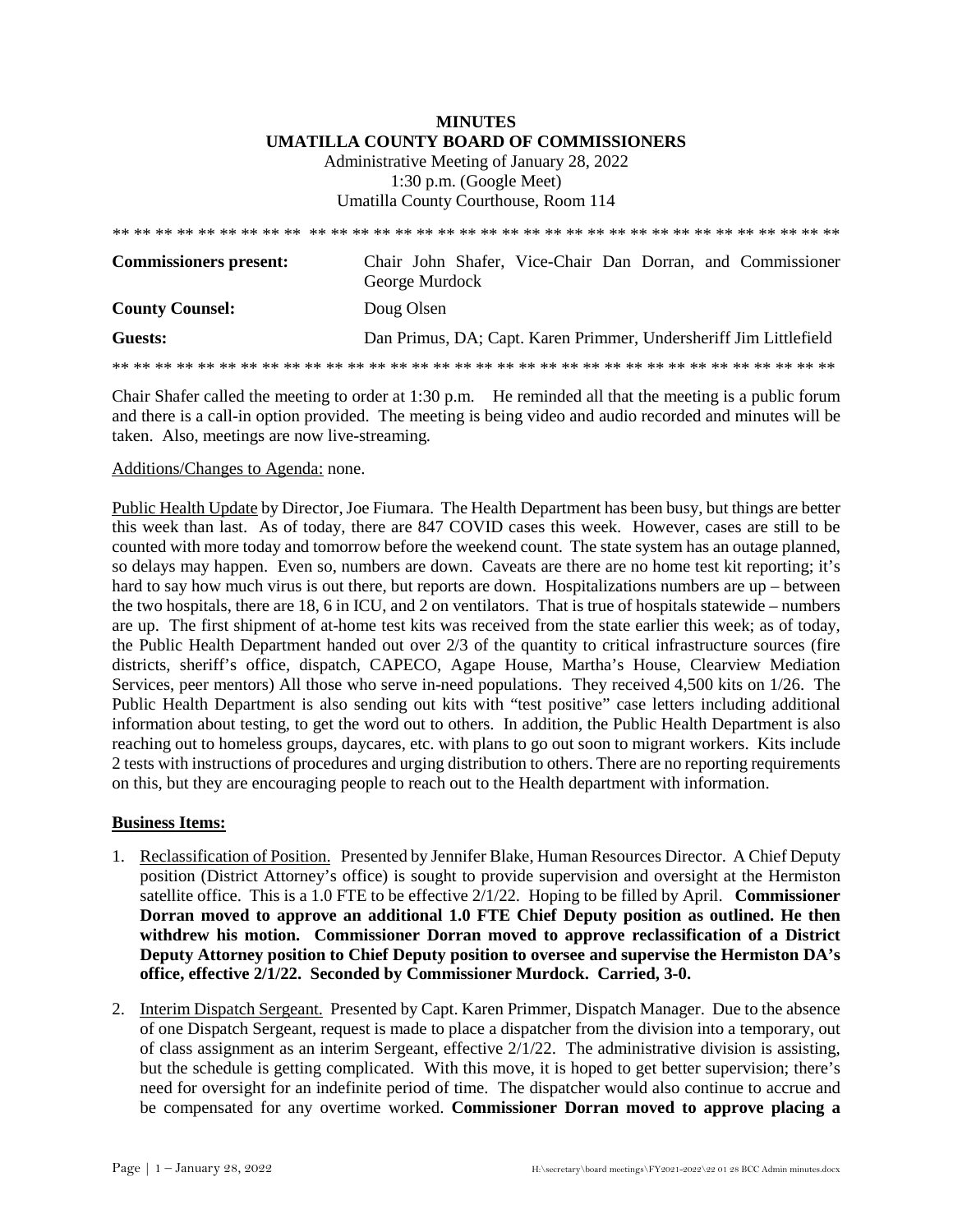## **MINUTES UMATILLA COUNTY BOARD OF COMMISSIONERS**  Administrative Meeting of January 28, 2022 1:30 p.m. (Google Meet) Umatilla County Courthouse, Room 114

| <b>Commissioners present:</b> | Chair John Shafer, Vice-Chair Dan Dorran, and Commissioner<br>George Murdock |
|-------------------------------|------------------------------------------------------------------------------|
| <b>County Counsel:</b>        | Doug Olsen                                                                   |
| Guests:                       | Dan Primus, DA; Capt. Karen Primmer, Undersheriff Jim Littlefield            |
|                               |                                                                              |

Chair Shafer called the meeting to order at 1:30 p.m. He reminded all that the meeting is a public forum and there is a call-in option provided. The meeting is being video and audio recorded and minutes will be taken. Also, meetings are now live-streaming*.*

## Additions/Changes to Agenda: none.

Public Health Update by Director, Joe Fiumara. The Health Department has been busy, but things are better this week than last. As of today, there are 847 COVID cases this week. However, cases are still to be counted with more today and tomorrow before the weekend count. The state system has an outage planned, so delays may happen. Even so, numbers are down. Caveats are there are no home test kit reporting; it's hard to say how much virus is out there, but reports are down. Hospitalizations numbers are up – between the two hospitals, there are 18, 6 in ICU, and 2 on ventilators. That is true of hospitals statewide – numbers are up. The first shipment of at-home test kits was received from the state earlier this week; as of today, the Public Health Department handed out over 2/3 of the quantity to critical infrastructure sources (fire districts, sheriff's office, dispatch, CAPECO, Agape House, Martha's House, Clearview Mediation Services, peer mentors) All those who serve in-need populations. They received 4,500 kits on 1/26. The Public Health Department is also sending out kits with "test positive" case letters including additional information about testing, to get the word out to others. In addition, the Public Health Department is also reaching out to homeless groups, daycares, etc. with plans to go out soon to migrant workers. Kits include 2 tests with instructions of procedures and urging distribution to others. There are no reporting requirements on this, but they are encouraging people to reach out to the Health department with information.

## **Business Items:**

- 1. Reclassification of Position. Presented by Jennifer Blake, Human Resources Director. A Chief Deputy position (District Attorney's office) is sought to provide supervision and oversight at the Hermiston satellite office. This is a 1.0 FTE to be effective 2/1/22. Hoping to be filled by April. **Commissioner Dorran moved to approve an additional 1.0 FTE Chief Deputy position as outlined. He then withdrew his motion. Commissioner Dorran moved to approve reclassification of a District Deputy Attorney position to Chief Deputy position to oversee and supervise the Hermiston DA's office, effective 2/1/22. Seconded by Commissioner Murdock. Carried, 3-0.**
- 2. Interim Dispatch Sergeant. Presented by Capt. Karen Primmer, Dispatch Manager. Due to the absence of one Dispatch Sergeant, request is made to place a dispatcher from the division into a temporary, out of class assignment as an interim Sergeant, effective 2/1/22. The administrative division is assisting, but the schedule is getting complicated. With this move, it is hoped to get better supervision; there's need for oversight for an indefinite period of time. The dispatcher would also continue to accrue and be compensated for any overtime worked. **Commissioner Dorran moved to approve placing a**